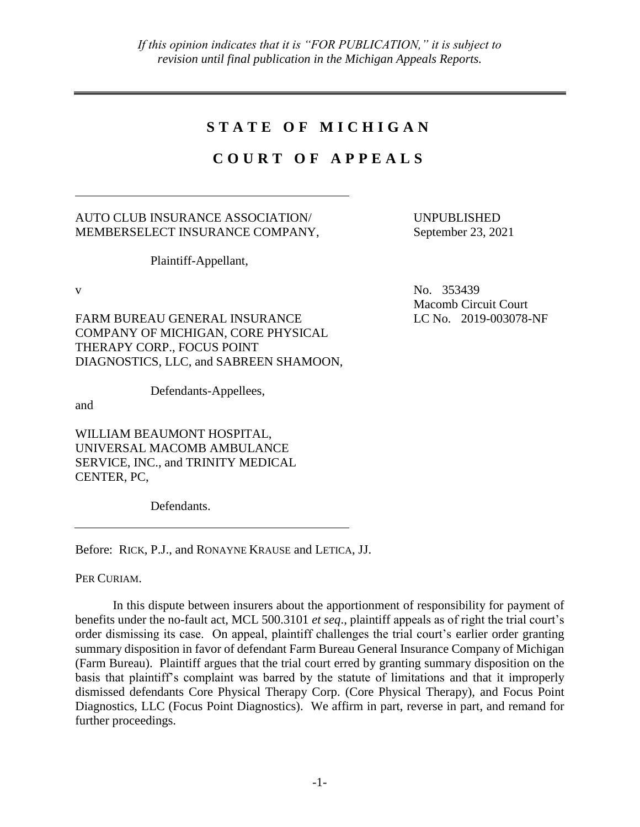# **S T A T E O F M I C H I G A N**

# **C O U R T O F A P P E A L S**

# AUTO CLUB INSURANCE ASSOCIATION/ MEMBERSELECT INSURANCE COMPANY,

Plaintiff-Appellant,

FARM BUREAU GENERAL INSURANCE COMPANY OF MICHIGAN, CORE PHYSICAL THERAPY CORP., FOCUS POINT DIAGNOSTICS, LLC, and SABREEN SHAMOON,

Defendants-Appellees,

and

WILLIAM BEAUMONT HOSPITAL, UNIVERSAL MACOMB AMBULANCE SERVICE, INC., and TRINITY MEDICAL CENTER, PC,

Defendants.

Before: RICK, P.J., and RONAYNE KRAUSE and LETICA, JJ.

PER CURIAM.

In this dispute between insurers about the apportionment of responsibility for payment of benefits under the no-fault act, MCL 500.3101 *et seq*., plaintiff appeals as of right the trial court's order dismissing its case. On appeal, plaintiff challenges the trial court's earlier order granting summary disposition in favor of defendant Farm Bureau General Insurance Company of Michigan (Farm Bureau). Plaintiff argues that the trial court erred by granting summary disposition on the basis that plaintiff's complaint was barred by the statute of limitations and that it improperly dismissed defendants Core Physical Therapy Corp. (Core Physical Therapy), and Focus Point Diagnostics, LLC (Focus Point Diagnostics). We affirm in part, reverse in part, and remand for further proceedings.

UNPUBLISHED September 23, 2021

v No. 353439 Macomb Circuit Court LC No. 2019-003078-NF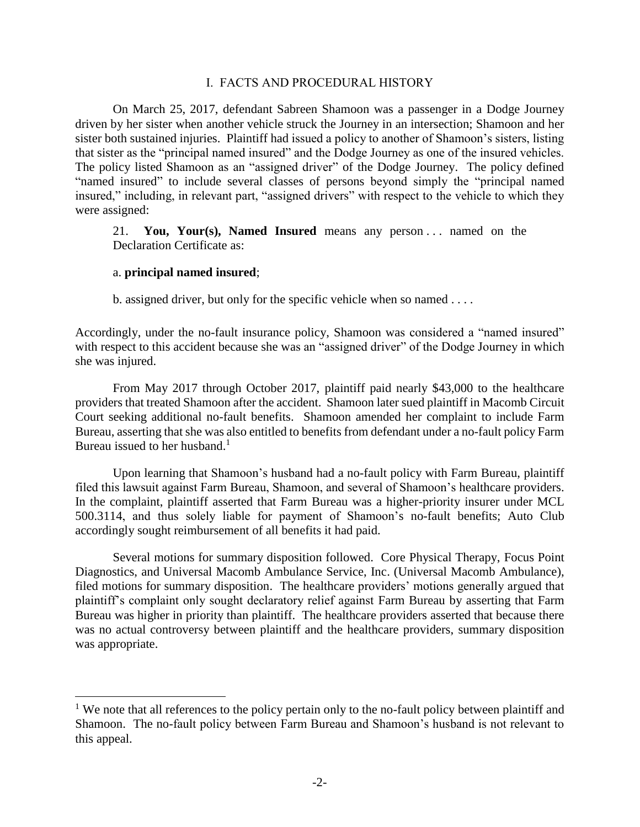# I. FACTS AND PROCEDURAL HISTORY

On March 25, 2017, defendant Sabreen Shamoon was a passenger in a Dodge Journey driven by her sister when another vehicle struck the Journey in an intersection; Shamoon and her sister both sustained injuries. Plaintiff had issued a policy to another of Shamoon's sisters, listing that sister as the "principal named insured" and the Dodge Journey as one of the insured vehicles. The policy listed Shamoon as an "assigned driver" of the Dodge Journey. The policy defined "named insured" to include several classes of persons beyond simply the "principal named insured," including, in relevant part, "assigned drivers" with respect to the vehicle to which they were assigned:

21. **You, Your(s), Named Insured** means any person . . . named on the Declaration Certificate as:

# a. **principal named insured**;

 $\overline{a}$ 

b. assigned driver, but only for the specific vehicle when so named . . . .

Accordingly, under the no-fault insurance policy, Shamoon was considered a "named insured" with respect to this accident because she was an "assigned driver" of the Dodge Journey in which she was injured.

From May 2017 through October 2017, plaintiff paid nearly \$43,000 to the healthcare providers that treated Shamoon after the accident. Shamoon later sued plaintiff in Macomb Circuit Court seeking additional no-fault benefits. Shamoon amended her complaint to include Farm Bureau, asserting that she was also entitled to benefits from defendant under a no-fault policy Farm Bureau issued to her husband. $<sup>1</sup>$ </sup>

Upon learning that Shamoon's husband had a no-fault policy with Farm Bureau, plaintiff filed this lawsuit against Farm Bureau, Shamoon, and several of Shamoon's healthcare providers. In the complaint, plaintiff asserted that Farm Bureau was a higher-priority insurer under MCL 500.3114, and thus solely liable for payment of Shamoon's no-fault benefits; Auto Club accordingly sought reimbursement of all benefits it had paid.

Several motions for summary disposition followed. Core Physical Therapy, Focus Point Diagnostics, and Universal Macomb Ambulance Service, Inc. (Universal Macomb Ambulance), filed motions for summary disposition. The healthcare providers' motions generally argued that plaintiff's complaint only sought declaratory relief against Farm Bureau by asserting that Farm Bureau was higher in priority than plaintiff. The healthcare providers asserted that because there was no actual controversy between plaintiff and the healthcare providers, summary disposition was appropriate.

<sup>&</sup>lt;sup>1</sup> We note that all references to the policy pertain only to the no-fault policy between plaintiff and Shamoon. The no-fault policy between Farm Bureau and Shamoon's husband is not relevant to this appeal.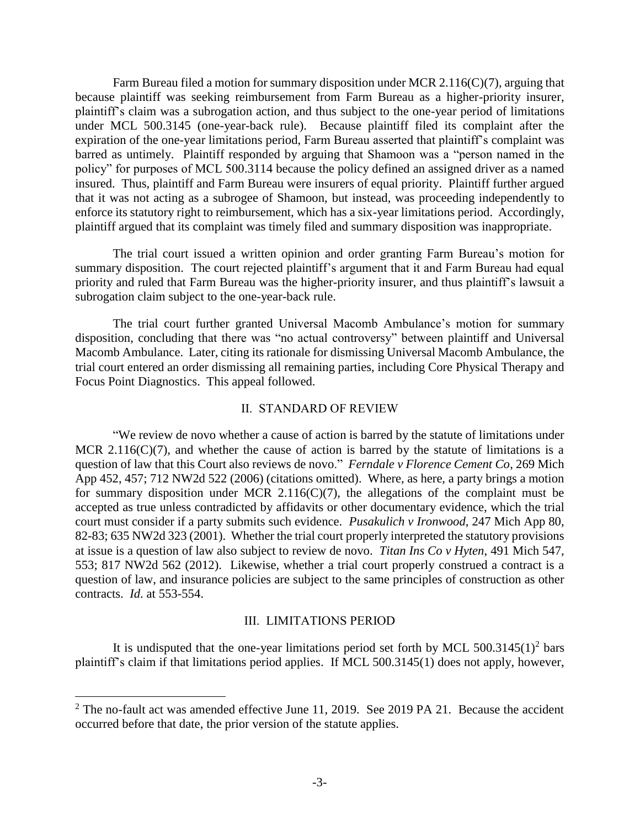Farm Bureau filed a motion for summary disposition under MCR 2.116( $C$ )(7), arguing that because plaintiff was seeking reimbursement from Farm Bureau as a higher-priority insurer, plaintiff's claim was a subrogation action, and thus subject to the one-year period of limitations under MCL 500.3145 (one-year-back rule). Because plaintiff filed its complaint after the expiration of the one-year limitations period, Farm Bureau asserted that plaintiff's complaint was barred as untimely. Plaintiff responded by arguing that Shamoon was a "person named in the policy" for purposes of MCL 500.3114 because the policy defined an assigned driver as a named insured. Thus, plaintiff and Farm Bureau were insurers of equal priority. Plaintiff further argued that it was not acting as a subrogee of Shamoon, but instead, was proceeding independently to enforce its statutory right to reimbursement, which has a six-year limitations period. Accordingly, plaintiff argued that its complaint was timely filed and summary disposition was inappropriate.

The trial court issued a written opinion and order granting Farm Bureau's motion for summary disposition. The court rejected plaintiff's argument that it and Farm Bureau had equal priority and ruled that Farm Bureau was the higher-priority insurer, and thus plaintiff's lawsuit a subrogation claim subject to the one-year-back rule.

The trial court further granted Universal Macomb Ambulance's motion for summary disposition, concluding that there was "no actual controversy" between plaintiff and Universal Macomb Ambulance. Later, citing its rationale for dismissing Universal Macomb Ambulance, the trial court entered an order dismissing all remaining parties, including Core Physical Therapy and Focus Point Diagnostics. This appeal followed.

#### II. STANDARD OF REVIEW

"We review de novo whether a cause of action is barred by the statute of limitations under MCR 2.116( $C$ )(7), and whether the cause of action is barred by the statute of limitations is a question of law that this Court also reviews de novo." *Ferndale v Florence Cement Co*, 269 Mich App 452, 457; 712 NW2d 522 (2006) (citations omitted). Where, as here, a party brings a motion for summary disposition under MCR  $2.116(C)(7)$ , the allegations of the complaint must be accepted as true unless contradicted by affidavits or other documentary evidence, which the trial court must consider if a party submits such evidence. *Pusakulich v Ironwood*, 247 Mich App 80, 82-83; 635 NW2d 323 (2001). Whether the trial court properly interpreted the statutory provisions at issue is a question of law also subject to review de novo. *Titan Ins Co v Hyten*, 491 Mich 547, 553; 817 NW2d 562 (2012). Likewise, whether a trial court properly construed a contract is a question of law, and insurance policies are subject to the same principles of construction as other contracts. *Id*. at 553-554.

## III. LIMITATIONS PERIOD

It is undisputed that the one-year limitations period set forth by MCL  $500.3145(1)^2$  bars plaintiff's claim if that limitations period applies. If MCL 500.3145(1) does not apply, however,

 $\overline{a}$ 

 $2$  The no-fault act was amended effective June 11, 2019. See 2019 PA 21. Because the accident occurred before that date, the prior version of the statute applies.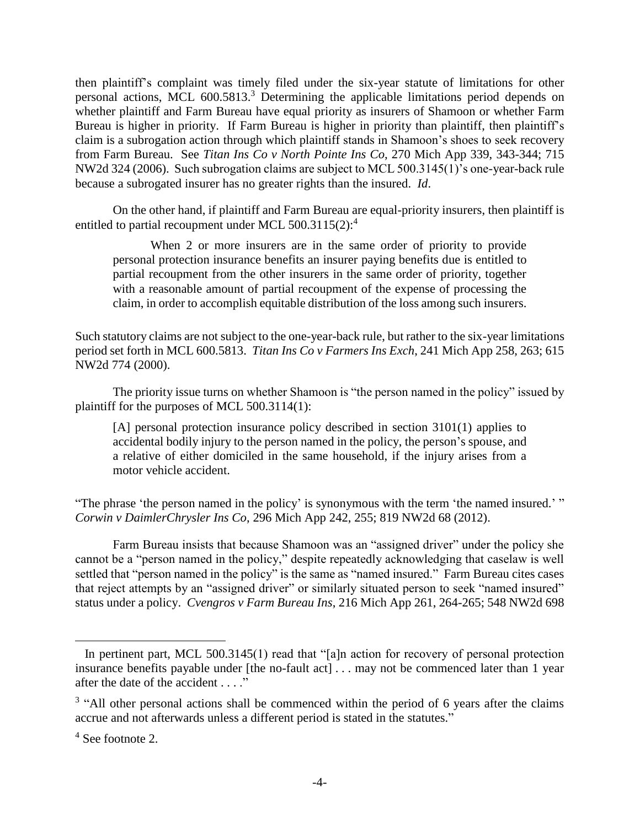then plaintiff's complaint was timely filed under the six-year statute of limitations for other personal actions, MCL 600.5813. <sup>3</sup> Determining the applicable limitations period depends on whether plaintiff and Farm Bureau have equal priority as insurers of Shamoon or whether Farm Bureau is higher in priority. If Farm Bureau is higher in priority than plaintiff, then plaintiff's claim is a subrogation action through which plaintiff stands in Shamoon's shoes to seek recovery from Farm Bureau. See *Titan Ins Co v North Pointe Ins Co*, 270 Mich App 339, 343-344; 715 NW2d 324 (2006). Such subrogation claims are subject to MCL 500.3145(1)'s one-year-back rule because a subrogated insurer has no greater rights than the insured. *Id*.

On the other hand, if plaintiff and Farm Bureau are equal-priority insurers, then plaintiff is entitled to partial recoupment under MCL 500.3115(2):<sup>4</sup>

When 2 or more insurers are in the same order of priority to provide personal protection insurance benefits an insurer paying benefits due is entitled to partial recoupment from the other insurers in the same order of priority, together with a reasonable amount of partial recoupment of the expense of processing the claim, in order to accomplish equitable distribution of the loss among such insurers.

Such statutory claims are not subject to the one-year-back rule, but rather to the six-year limitations period set forth in MCL 600.5813. *Titan Ins Co v Farmers Ins Exch*, 241 Mich App 258, 263; 615 NW2d 774 (2000).

The priority issue turns on whether Shamoon is "the person named in the policy" issued by plaintiff for the purposes of MCL 500.3114(1):

[A] personal protection insurance policy described in section 3101(1) applies to accidental bodily injury to the person named in the policy, the person's spouse, and a relative of either domiciled in the same household, if the injury arises from a motor vehicle accident.

"The phrase 'the person named in the policy' is synonymous with the term 'the named insured.' " *Corwin v DaimlerChrysler Ins Co*, 296 Mich App 242, 255; 819 NW2d 68 (2012).

Farm Bureau insists that because Shamoon was an "assigned driver" under the policy she cannot be a "person named in the policy," despite repeatedly acknowledging that caselaw is well settled that "person named in the policy" is the same as "named insured." Farm Bureau cites cases that reject attempts by an "assigned driver" or similarly situated person to seek "named insured" status under a policy. *Cvengros v Farm Bureau Ins*, 216 Mich App 261, 264-265; 548 NW2d 698

 $\overline{a}$ 

In pertinent part, MCL 500.3145(1) read that "[a]n action for recovery of personal protection insurance benefits payable under [the no-fault act] . . . may not be commenced later than 1 year after the date of the accident . . . ."

 $3$  "All other personal actions shall be commenced within the period of 6 years after the claims accrue and not afterwards unless a different period is stated in the statutes."

<sup>4</sup> See footnote 2.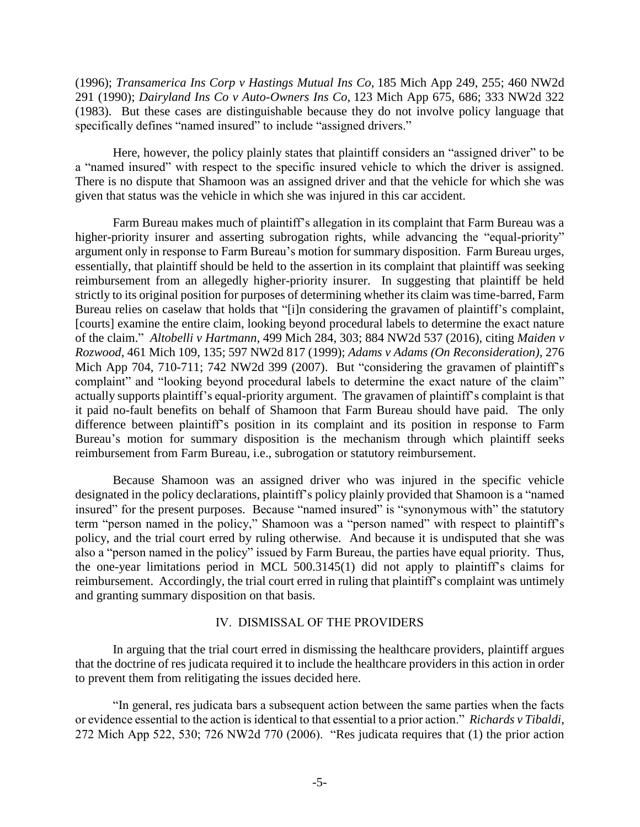(1996); *Transamerica Ins Corp v Hastings Mutual Ins Co*, 185 Mich App 249, 255; 460 NW2d 291 (1990); *Dairyland Ins Co v Auto-Owners Ins Co*, 123 Mich App 675, 686; 333 NW2d 322 (1983). But these cases are distinguishable because they do not involve policy language that specifically defines "named insured" to include "assigned drivers."

Here, however, the policy plainly states that plaintiff considers an "assigned driver" to be a "named insured" with respect to the specific insured vehicle to which the driver is assigned. There is no dispute that Shamoon was an assigned driver and that the vehicle for which she was given that status was the vehicle in which she was injured in this car accident.

Farm Bureau makes much of plaintiff's allegation in its complaint that Farm Bureau was a higher-priority insurer and asserting subrogation rights, while advancing the "equal-priority" argument only in response to Farm Bureau's motion for summary disposition. Farm Bureau urges, essentially, that plaintiff should be held to the assertion in its complaint that plaintiff was seeking reimbursement from an allegedly higher-priority insurer. In suggesting that plaintiff be held strictly to its original position for purposes of determining whether its claim was time-barred, Farm Bureau relies on caselaw that holds that "[i]n considering the gravamen of plaintiff's complaint, [courts] examine the entire claim, looking beyond procedural labels to determine the exact nature of the claim." *Altobelli v Hartmann*, 499 Mich 284, 303; 884 NW2d 537 (2016), citing *Maiden v Rozwood*, 461 Mich 109, 135; 597 NW2d 817 (1999); *Adams v Adams (On Reconsideration)*, 276 Mich App 704, 710-711; 742 NW2d 399 (2007). But "considering the gravamen of plaintiff's complaint" and "looking beyond procedural labels to determine the exact nature of the claim" actually supports plaintiff's equal-priority argument. The gravamen of plaintiff's complaint is that it paid no-fault benefits on behalf of Shamoon that Farm Bureau should have paid. The only difference between plaintiff's position in its complaint and its position in response to Farm Bureau's motion for summary disposition is the mechanism through which plaintiff seeks reimbursement from Farm Bureau, i.e., subrogation or statutory reimbursement.

Because Shamoon was an assigned driver who was injured in the specific vehicle designated in the policy declarations, plaintiff's policy plainly provided that Shamoon is a "named insured" for the present purposes. Because "named insured" is "synonymous with" the statutory term "person named in the policy," Shamoon was a "person named" with respect to plaintiff's policy, and the trial court erred by ruling otherwise. And because it is undisputed that she was also a "person named in the policy" issued by Farm Bureau, the parties have equal priority. Thus, the one-year limitations period in MCL 500.3145(1) did not apply to plaintiff's claims for reimbursement. Accordingly, the trial court erred in ruling that plaintiff's complaint was untimely and granting summary disposition on that basis.

# IV. DISMISSAL OF THE PROVIDERS

In arguing that the trial court erred in dismissing the healthcare providers, plaintiff argues that the doctrine of res judicata required it to include the healthcare providers in this action in order to prevent them from relitigating the issues decided here.

"In general, res judicata bars a subsequent action between the same parties when the facts or evidence essential to the action is identical to that essential to a prior action." *Richards v Tibaldi*, 272 Mich App 522, 530; 726 NW2d 770 (2006). "Res judicata requires that (1) the prior action